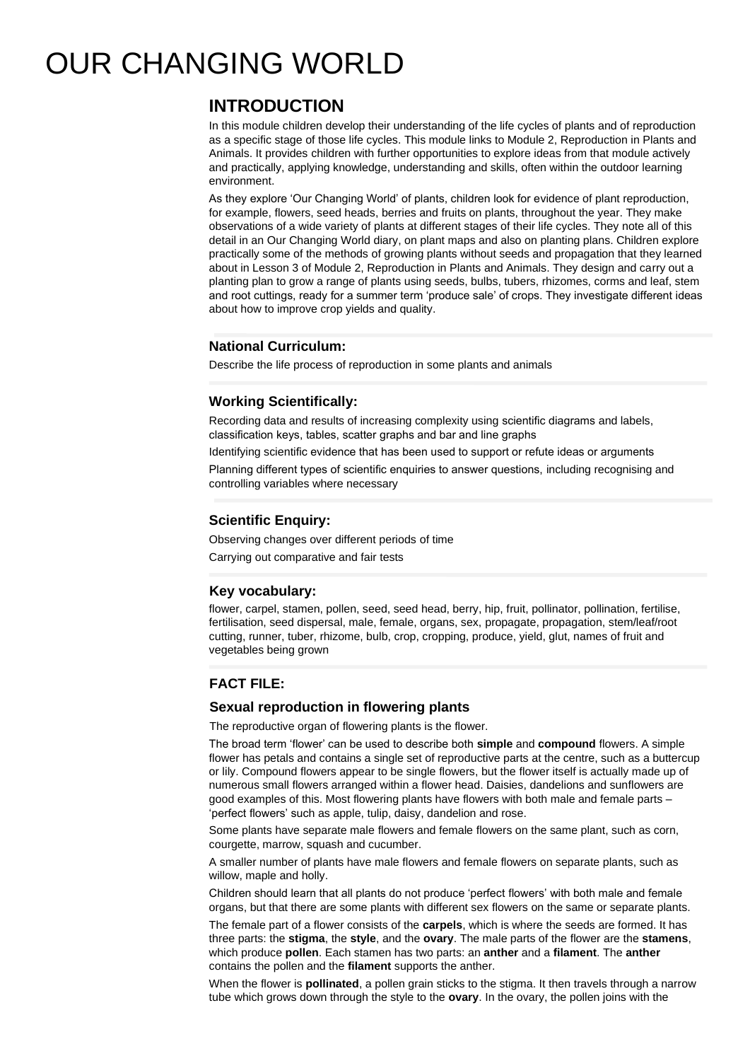# OUR CHANGING WORLD

# **INTRODUCTION**

In this module children develop their understanding of the life cycles of plants and of reproduction as a specific stage of those life cycles. This module links to Module 2, Reproduction in Plants and Animals. It provides children with further opportunities to explore ideas from that module actively and practically, applying knowledge, understanding and skills, often within the outdoor learning environment.

As they explore 'Our Changing World' of plants, children look for evidence of plant reproduction, for example, flowers, seed heads, berries and fruits on plants, throughout the year. They make observations of a wide variety of plants at different stages of their life cycles. They note all of this detail in an Our Changing World diary, on plant maps and also on planting plans. Children explore practically some of the methods of growing plants without seeds and propagation that they learned about in Lesson 3 of Module 2, Reproduction in Plants and Animals. They design and carry out a planting plan to grow a range of plants using seeds, bulbs, tubers, rhizomes, corms and leaf, stem and root cuttings, ready for a summer term 'produce sale' of crops. They investigate different ideas about how to improve crop yields and quality.

# **National Curriculum:**

Describe the life process of reproduction in some plants and animals

## **Working Scientifically:**

Recording data and results of increasing complexity using scientific diagrams and labels, classification keys, tables, scatter graphs and bar and line graphs

Identifying scientific evidence that has been used to support or refute ideas or arguments

Planning different types of scientific enquiries to answer questions, including recognising and controlling variables where necessary

### **Scientific Enquiry:**

Observing changes over different periods of time

Carrying out comparative and fair tests

#### **Key vocabulary:**

flower, carpel, stamen, pollen, seed, seed head, berry, hip, fruit, pollinator, pollination, fertilise, fertilisation, seed dispersal, male, female, organs, sex, propagate, propagation, stem/leaf/root cutting, runner, tuber, rhizome, bulb, crop, cropping, produce, yield, glut, names of fruit and vegetables being grown

# **FACT FILE:**

#### **Sexual reproduction in flowering plants**

The reproductive organ of flowering plants is the flower.

The broad term 'flower' can be used to describe both **simple** and **compound** flowers. A simple flower has petals and contains a single set of reproductive parts at the centre, such as a buttercup or lily. Compound flowers appear to be single flowers, but the flower itself is actually made up of numerous small flowers arranged within a flower head. Daisies, dandelions and sunflowers are good examples of this. Most flowering plants have flowers with both male and female parts – 'perfect flowers' such as apple, tulip, daisy, dandelion and rose.

Some plants have separate male flowers and female flowers on the same plant, such as corn, courgette, marrow, squash and cucumber.

A smaller number of plants have male flowers and female flowers on separate plants, such as willow, maple and holly.

Children should learn that all plants do not produce 'perfect flowers' with both male and female organs, but that there are some plants with different sex flowers on the same or separate plants.

The female part of a flower consists of the **carpels**, which is where the seeds are formed. It has three parts: the **stigma**, the **style**, and the **ovary**. The male parts of the flower are the **stamens**, which produce **pollen**. Each stamen has two parts: an **anther** and a **filament**. The **anther** contains the pollen and the **filament** supports the anther.

When the flower is **pollinated**, a pollen grain sticks to the stigma. It then travels through a narrow tube which grows down through the style to the **ovary**. In the ovary, the pollen joins with the